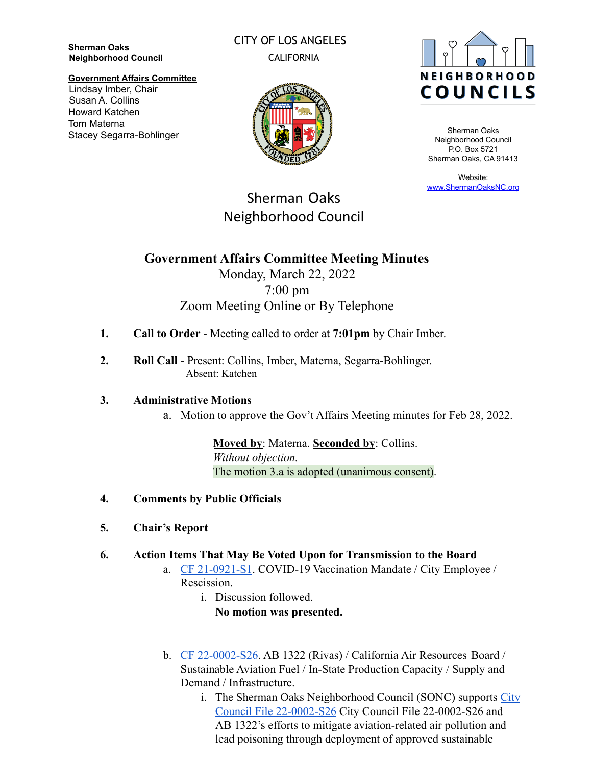**Sherman Oaks Neighborhood Council** CITY OF LOS ANGELES CALIFORNIA



Sherman Oaks Neighborhood Council P.O. Box 5721 Sherman Oaks, CA 91413

Website: [www.ShermanOaksNC.org](http://www.shermanoaksnc.org)

## **Government Affairs Committee** Lindsay Imber, Chair Susan A. Collins Howard Katchen Tom Materna Stacey Segarra-Bohlinger



Sherman Oaks

Neighborhood Council

# **Government Affairs Committee Meeting Minutes** Monday, March 22, 2022 7:00 pm Zoom Meeting Online or By Telephone

- **1. Call to Order** Meeting called to order at **7:01pm** by Chair Imber.
- **2. Roll Call** Present: Collins, Imber, Materna, Segarra-Bohlinger. Absent: Katchen

## **3. Administrative Motions**

a. Motion to approve the Gov't Affairs Meeting minutes for Feb 28, 2022.

**Moved by**: Materna. **Seconded by**: Collins. *Without objection.* The motion 3.a is adopted (unanimous consent).

- **4. Comments by Public Officials**
- **5. Chair's Report**
- **6. Action Items That May Be Voted Upon for Transmission to the Board**
	- a. [CF 21-0921-S1](https://cityclerk.lacity.org/lacityclerkconnect/index.cfm?fa=ccfi.viewrecord&cfnumber=21-0921-S1). COVID-19 Vaccination Mandate / City Employee / Rescission.
		- i. Discussion followed. **No motion was presented.**
	- b. [CF 22-0002-S26](https://cityclerk.lacity.org/lacityclerkconnect/index.cfm?fa=ccfi.viewrecord&cfnumber=22-0002-S26). AB 1322 (Rivas) / California Air Resources Board / Sustainable Aviation Fuel / In-State Production Capacity / Supply and Demand / Infrastructure.
		- i. The Sherman Oaks Neighborhood Council (SONC) supports [City](https://cityclerk.lacity.org/lacityclerkconnect/index.cfm?fa=ccfi.viewrecord&cfnumber=22-0002-S26) [Council File 22-0002-S26](https://cityclerk.lacity.org/lacityclerkconnect/index.cfm?fa=ccfi.viewrecord&cfnumber=22-0002-S26) City Council File 22-0002-S26 and AB 1322's efforts to mitigate aviation-related air pollution and lead poisoning through deployment of approved sustainable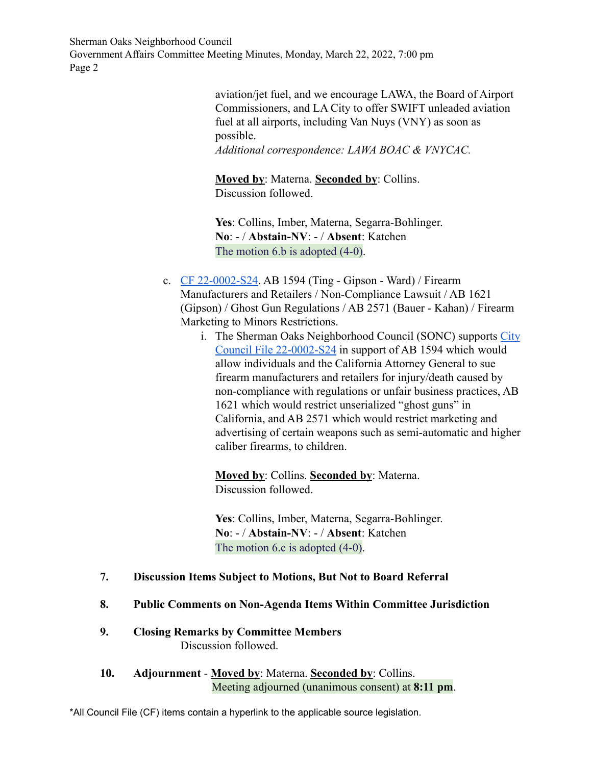Sherman Oaks Neighborhood Council Government Affairs Committee Meeting Minutes, Monday, March 22, 2022, 7:00 pm Page 2

> aviation/jet fuel, and we encourage LAWA, the Board of Airport Commissioners, and LA City to offer SWIFT unleaded aviation fuel at all airports, including Van Nuys (VNY) as soon as possible.

*Additional correspondence: LAWA BOAC & VNYCAC.*

**Moved by**: Materna. **Seconded by**: Collins. Discussion followed.

**Yes**: Collins, Imber, Materna, Segarra-Bohlinger. **No**: - / **Abstain-NV**: - / **Absent**: Katchen The motion 6.b is adopted  $(4-0)$ .

- c. [CF 22-0002-S24](https://cityclerk.lacity.org/lacityclerkconnect/index.cfm?fa=ccfi.viewrecord&cfnumber=22-0002-S24). AB 1594 (Ting Gipson Ward) / Firearm Manufacturers and Retailers / Non-Compliance Lawsuit / AB 1621 (Gipson) / Ghost Gun Regulations / AB 2571 (Bauer - Kahan) / Firearm Marketing to Minors Restrictions.
	- i. The Sherman Oaks Neighborhood Council (SONC) supports [City](https://cityclerk.lacity.org/lacityclerkconnect/index.cfm?fa=ccfi.viewrecord&cfnumber=22-0002-S24) [Council File 22-0002-S24](https://cityclerk.lacity.org/lacityclerkconnect/index.cfm?fa=ccfi.viewrecord&cfnumber=22-0002-S24) in support of AB 1594 which would allow individuals and the California Attorney General to sue firearm manufacturers and retailers for injury/death caused by non-compliance with regulations or unfair business practices, AB 1621 which would restrict unserialized "ghost guns" in California, and AB 2571 which would restrict marketing and advertising of certain weapons such as semi-automatic and higher caliber firearms, to children.

**Moved by**: Collins. **Seconded by**: Materna. Discussion followed.

**Yes**: Collins, Imber, Materna, Segarra-Bohlinger. **No**: - / **Abstain-NV**: - / **Absent**: Katchen The motion 6.c is adopted  $(4-0)$ .

- **7. Discussion Items Subject to Motions, But Not to Board Referral**
- **8. Public Comments on Non-Agenda Items Within Committee Jurisdiction**
- **9. Closing Remarks by Committee Members** Discussion followed.
- **10. Adjournment Moved by**: Materna. **Seconded by**: Collins. Meeting adjourned (unanimous consent) at **8:11 pm**.

\*All Council File (CF) items contain a hyperlink to the applicable source legislation.